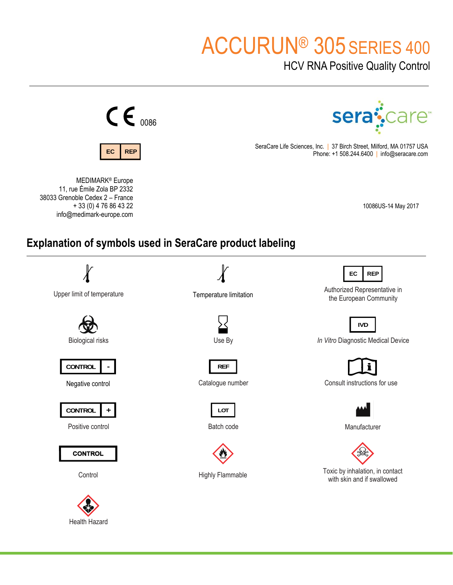# ACCURUN® 305 SERIES 400

HCV RNA Positive Quality Control



Health Hazard